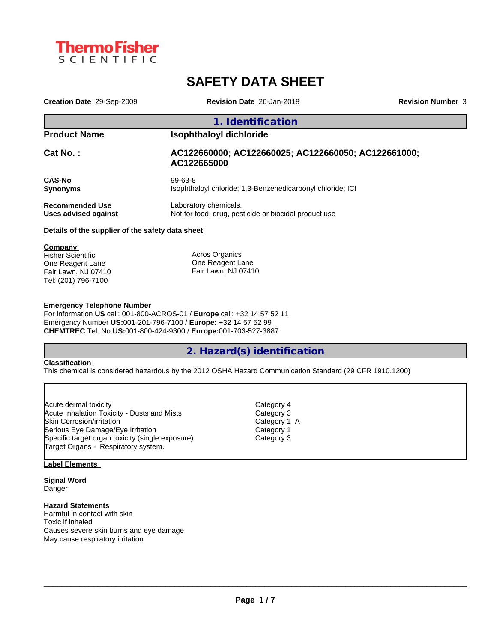

# **SAFETY DATA SHEET**

| Creation Date 29-Sep-2009                        | Revision Date 26-Jan-2018                                                      | <b>Revision Number 3</b> |  |  |  |
|--------------------------------------------------|--------------------------------------------------------------------------------|--------------------------|--|--|--|
|                                                  | 1. Identification                                                              |                          |  |  |  |
| <b>Product Name</b>                              | <b>Isophthaloyl dichloride</b>                                                 |                          |  |  |  |
| Cat No.:                                         | AC122660000; AC122660025; AC122660050; AC122661000;<br>AC122665000             |                          |  |  |  |
| <b>CAS-No</b><br><b>Synonyms</b>                 | $99 - 63 - 8$<br>Isophthaloyl chloride; 1,3-Benzenedicarbonyl chloride; ICI    |                          |  |  |  |
| <b>Recommended Use</b><br>Uses advised against   | Laboratory chemicals.<br>Not for food, drug, pesticide or biocidal product use |                          |  |  |  |
| Details of the supplier of the safety data sheet |                                                                                |                          |  |  |  |
| Company                                          |                                                                                |                          |  |  |  |
| <b>Fisher Scientific</b>                         | Acros Organics                                                                 |                          |  |  |  |
| One Reagent Lane                                 | One Reagent Lane                                                               |                          |  |  |  |
| Fair Lawn, NJ 07410                              | Fair Lawn, NJ 07410                                                            |                          |  |  |  |

#### **Emergency Telephone Number**

For information **US** call: 001-800-ACROS-01 / **Europe** call: +32 14 57 52 11 Emergency Number **US:**001-201-796-7100 / **Europe:** +32 14 57 52 99 **CHEMTREC** Tel. No.**US:**001-800-424-9300 / **Europe:**001-703-527-3887

# **2. Hazard(s) identification**

#### **Classification**

Tel: (201) 796-7100

This chemical is considered hazardous by the 2012 OSHA Hazard Communication Standard (29 CFR 1910.1200)

| Acute dermal toxicity                            | Category 4   |  |
|--------------------------------------------------|--------------|--|
| Acute Inhalation Toxicity - Dusts and Mists      | Category 3   |  |
| Skin Corrosion/irritation                        | Category 1 A |  |
| Serious Eye Damage/Eye Irritation                | Category 1   |  |
| Specific target organ toxicity (single exposure) | Category 3   |  |
| Target Organs - Respiratory system.              |              |  |

## **Label Elements**

**Signal Word** Danger

## **Hazard Statements**

Harmful in contact with skin Toxic if inhaled Causes severe skin burns and eye damage May cause respiratory irritation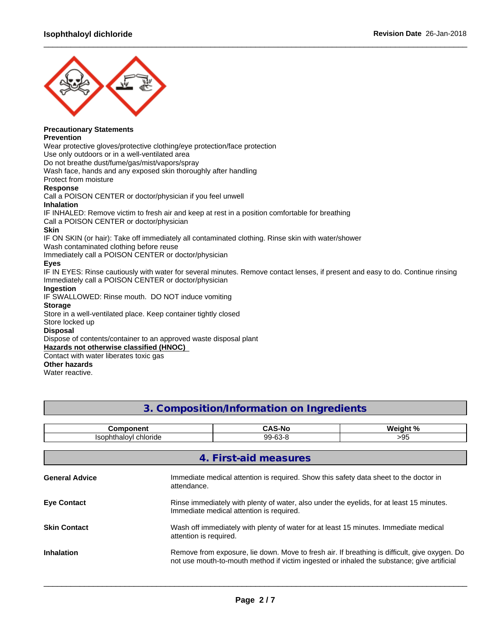

# **Precautionary Statements**

## **Prevention**

Wear protective gloves/protective clothing/eye protection/face protection Use only outdoors or in a well-ventilated area Do not breathe dust/fume/gas/mist/vapors/spray Wash face, hands and any exposed skin thoroughly after handling Protect from moisture **Response** Call a POISON CENTER or doctor/physician if you feel unwell **Inhalation** IF INHALED: Remove victim to fresh air and keep at rest in a position comfortable for breathing Call a POISON CENTER or doctor/physician **Skin** IF ON SKIN (or hair): Take off immediately all contaminated clothing. Rinse skin with water/shower Wash contaminated clothing before reuse Immediately call a POISON CENTER or doctor/physician **Eyes** IF IN EYES: Rinse cautiously with water for several minutes. Remove contact lenses, if present and easy to do. Continue rinsing Immediately call a POISON CENTER or doctor/physician **Ingestion** IF SWALLOWED: Rinse mouth. DO NOT induce vomiting **Storage** Store in a well-ventilated place. Keep container tightly closed Store locked up **Disposal** Dispose of contents/container to an approved waste disposal plant **Hazards not otherwise classified (HNOC)** Contact with water liberates toxic gas

## **Other hazards**

Water reactive.

# **3. Composition/Information on Ingredients**

 $\_$  ,  $\_$  ,  $\_$  ,  $\_$  ,  $\_$  ,  $\_$  ,  $\_$  ,  $\_$  ,  $\_$  ,  $\_$  ,  $\_$  ,  $\_$  ,  $\_$  ,  $\_$  ,  $\_$  ,  $\_$  ,  $\_$  ,  $\_$  ,  $\_$  ,  $\_$  ,  $\_$  ,  $\_$  ,  $\_$  ,  $\_$  ,  $\_$  ,  $\_$  ,  $\_$  ,  $\_$  ,  $\_$  ,  $\_$  ,  $\_$  ,  $\_$  ,  $\_$  ,  $\_$  ,  $\_$  ,  $\_$  ,  $\_$  ,

| <b>Component</b>      |                                                                                                                                                                                             | <b>CAS-No</b>         | Weight %                                                                              |
|-----------------------|---------------------------------------------------------------------------------------------------------------------------------------------------------------------------------------------|-----------------------|---------------------------------------------------------------------------------------|
| Isophthaloyl chloride |                                                                                                                                                                                             | 99-63-8               | >95                                                                                   |
|                       |                                                                                                                                                                                             |                       |                                                                                       |
|                       |                                                                                                                                                                                             | 4. First-aid measures |                                                                                       |
| <b>General Advice</b> | attendance.                                                                                                                                                                                 |                       | Immediate medical attention is required. Show this safety data sheet to the doctor in |
| <b>Eye Contact</b>    | Rinse immediately with plenty of water, also under the eyelids, for at least 15 minutes.<br>Immediate medical attention is required.                                                        |                       |                                                                                       |
| <b>Skin Contact</b>   | Wash off immediately with plenty of water for at least 15 minutes. Immediate medical<br>attention is required.                                                                              |                       |                                                                                       |
| <b>Inhalation</b>     | Remove from exposure, lie down. Move to fresh air. If breathing is difficult, give oxygen. Do<br>not use mouth-to-mouth method if victim ingested or inhaled the substance; give artificial |                       |                                                                                       |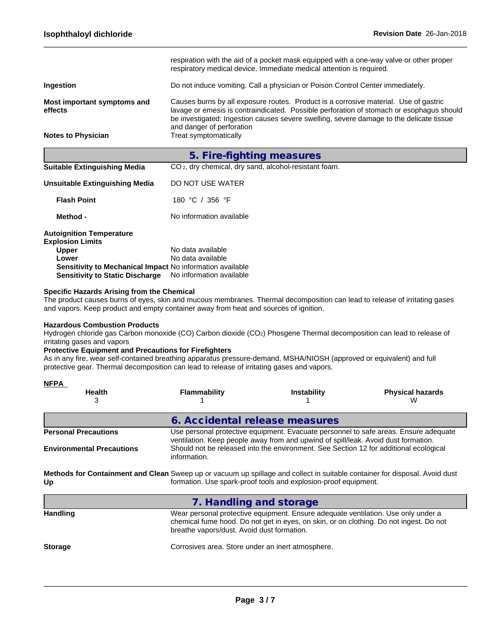|                                        | respiration with the aid of a pocket mask equipped with a one-way valve or other proper<br>respiratory medical device. Immediate medical attention is required.                                                                                                                                          |
|----------------------------------------|----------------------------------------------------------------------------------------------------------------------------------------------------------------------------------------------------------------------------------------------------------------------------------------------------------|
| Ingestion                              | Do not induce vomiting. Call a physician or Poison Control Center immediately.                                                                                                                                                                                                                           |
| Most important symptoms and<br>effects | Causes burns by all exposure routes. Product is a corrosive material. Use of gastric<br>lavage or emesis is contraindicated. Possible perforation of stomach or esophagus should<br>be investigated: Ingestion causes severe swelling, severe damage to the delicate tissue<br>and danger of perforation |
| <b>Notes to Physician</b>              | Treat symptomatically                                                                                                                                                                                                                                                                                    |
|                                        | 5. Fire-fighting measures                                                                                                                                                                                                                                                                                |
| <b>Suitable Extinguishing Media</b>    | CO <sub>2</sub> , dry chemical, dry sand, alcohol-resistant foam.                                                                                                                                                                                                                                        |
| <b>Unsuitable Extinguishing Media</b>  | DO NOT USE WATER                                                                                                                                                                                                                                                                                         |
| <b>Flash Point</b>                     | 180 °C / 356 °F                                                                                                                                                                                                                                                                                          |
| Method -                               | No information available                                                                                                                                                                                                                                                                                 |
| <b>Autoignition Temperature</b>        |                                                                                                                                                                                                                                                                                                          |
| <b>Explosion Limits</b>                |                                                                                                                                                                                                                                                                                                          |
| <b>Upper</b>                           | No data available                                                                                                                                                                                                                                                                                        |
| Lower                                  | No data available                                                                                                                                                                                                                                                                                        |

 $\_$  ,  $\_$  ,  $\_$  ,  $\_$  ,  $\_$  ,  $\_$  ,  $\_$  ,  $\_$  ,  $\_$  ,  $\_$  ,  $\_$  ,  $\_$  ,  $\_$  ,  $\_$  ,  $\_$  ,  $\_$  ,  $\_$  ,  $\_$  ,  $\_$  ,  $\_$  ,  $\_$  ,  $\_$  ,  $\_$  ,  $\_$  ,  $\_$  ,  $\_$  ,  $\_$  ,  $\_$  ,  $\_$  ,  $\_$  ,  $\_$  ,  $\_$  ,  $\_$  ,  $\_$  ,  $\_$  ,  $\_$  ,  $\_$  ,

# **Specific Hazards Arising from the Chemical**

The product causes burns of eyes, skin and mucous membranes. Thermal decomposition can lead to release of irritating gases and vapors. Keep product and empty container away from heat and sources of ignition.

#### **Hazardous Combustion Products**

Hydrogen chloride gas Carbon monoxide (CO) Carbon dioxide (CO2) Phosgene Thermal decomposition can lead to release of irritating gases and vapors

## **Protective Equipment and Precautions for Firefighters**

**Sensitivity to Mechanical Impact** No information available **Sensitivity to Static Discharge** No information available

As in any fire, wear self-contained breathing apparatus pressure-demand, MSHA/NIOSH (approved or equivalent) and full protective gear. Thermal decomposition can lead to release of irritating gases and vapors.

| <b>NFPA</b>                                                                                                                       |                                                   |                                                                                                                                                                                                                                                                     |                         |
|-----------------------------------------------------------------------------------------------------------------------------------|---------------------------------------------------|---------------------------------------------------------------------------------------------------------------------------------------------------------------------------------------------------------------------------------------------------------------------|-------------------------|
| <b>Health</b>                                                                                                                     | <b>Flammability</b>                               | <b>Instability</b>                                                                                                                                                                                                                                                  | <b>Physical hazards</b> |
| 3                                                                                                                                 |                                                   |                                                                                                                                                                                                                                                                     | w                       |
|                                                                                                                                   |                                                   | 6. Accidental release measures                                                                                                                                                                                                                                      |                         |
| <b>Personal Precautions</b><br><b>Environmental Precautions</b>                                                                   |                                                   | Use personal protective equipment. Evacuate personnel to safe areas. Ensure adequate<br>ventilation. Keep people away from and upwind of spill/leak. Avoid dust formation.<br>Should not be released into the environment. See Section 12 for additional ecological |                         |
|                                                                                                                                   | information.                                      |                                                                                                                                                                                                                                                                     |                         |
| Methods for Containment and Clean Sweep up or vacuum up spillage and collect in suitable container for disposal. Avoid dust<br>Up |                                                   | formation. Use spark-proof tools and explosion-proof equipment.                                                                                                                                                                                                     |                         |
|                                                                                                                                   |                                                   | 7. Handling and storage                                                                                                                                                                                                                                             |                         |
| <b>Handling</b>                                                                                                                   | breathe vapors/dust. Avoid dust formation.        | Wear personal protective equipment. Ensure adequate ventilation. Use only under a<br>chemical fume hood. Do not get in eyes, on skin, or on clothing. Do not ingest. Do not                                                                                         |                         |
| <b>Storage</b>                                                                                                                    | Corrosives area. Store under an inert atmosphere. |                                                                                                                                                                                                                                                                     |                         |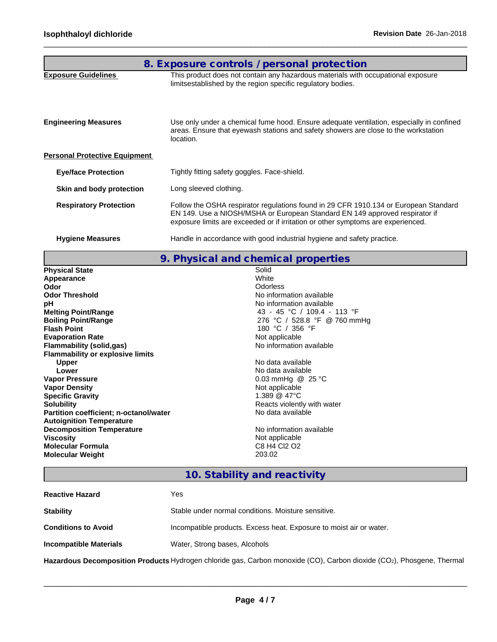|                                      | 8. Exposure controls / personal protection                                                                                                                                                                                                              |
|--------------------------------------|---------------------------------------------------------------------------------------------------------------------------------------------------------------------------------------------------------------------------------------------------------|
| <b>Exposure Guidelines</b>           | This product does not contain any hazardous materials with occupational exposure<br>limitsestablished by the region specific regulatory bodies.                                                                                                         |
| <b>Engineering Measures</b>          | Use only under a chemical fume hood. Ensure adequate ventilation, especially in confined<br>areas. Ensure that eyewash stations and safety showers are close to the workstation<br>location.                                                            |
| <b>Personal Protective Equipment</b> |                                                                                                                                                                                                                                                         |
| <b>Eye/face Protection</b>           | Tightly fitting safety goggles. Face-shield.                                                                                                                                                                                                            |
| Skin and body protection             | Long sleeved clothing.                                                                                                                                                                                                                                  |
| <b>Respiratory Protection</b>        | Follow the OSHA respirator regulations found in 29 CFR 1910.134 or European Standard<br>EN 149. Use a NIOSH/MSHA or European Standard EN 149 approved respirator if<br>exposure limits are exceeded or if irritation or other symptoms are experienced. |
| <b>Hygiene Measures</b>              | Handle in accordance with good industrial hygiene and safety practice.                                                                                                                                                                                  |

 $\_$  ,  $\_$  ,  $\_$  ,  $\_$  ,  $\_$  ,  $\_$  ,  $\_$  ,  $\_$  ,  $\_$  ,  $\_$  ,  $\_$  ,  $\_$  ,  $\_$  ,  $\_$  ,  $\_$  ,  $\_$  ,  $\_$  ,  $\_$  ,  $\_$  ,  $\_$  ,  $\_$  ,  $\_$  ,  $\_$  ,  $\_$  ,  $\_$  ,  $\_$  ,  $\_$  ,  $\_$  ,  $\_$  ,  $\_$  ,  $\_$  ,  $\_$  ,  $\_$  ,  $\_$  ,  $\_$  ,  $\_$  ,  $\_$  ,

# **9. Physical and chemical properties**

| <b>Physical State</b>                   | Solid                        |
|-----------------------------------------|------------------------------|
| Appearance                              | White                        |
| Odor                                    | Odorless                     |
| <b>Odor Threshold</b>                   | No information available     |
| рH                                      | No information available     |
| <b>Melting Point/Range</b>              | 43 - 45 °C / 109.4 - 113 °F  |
| <b>Boiling Point/Range</b>              | 276 °C / 528.8 °F @ 760 mmHg |
| <b>Flash Point</b>                      | 180 °C / 356 °F              |
| <b>Evaporation Rate</b>                 | Not applicable               |
| <b>Flammability (solid,gas)</b>         | No information available     |
| <b>Flammability or explosive limits</b> |                              |
| <b>Upper</b>                            | No data available            |
| Lower                                   | No data available            |
| <b>Vapor Pressure</b>                   | 0.03 mmHg $@$ 25 °C          |
| <b>Vapor Density</b>                    | Not applicable               |
| <b>Specific Gravity</b>                 | 1.389 $@$ 47 $°C$            |
| <b>Solubility</b>                       | Reacts violently with water  |
| Partition coefficient; n-octanol/water  | No data available            |
| <b>Autoignition Temperature</b>         |                              |
| <b>Decomposition Temperature</b>        | No information available     |
| <b>Viscosity</b>                        | Not applicable               |
| <b>Molecular Formula</b>                | C8 H4 Cl2 O2                 |
| <b>Molecular Weight</b>                 | 203.02                       |
|                                         |                              |

# **10. Stability and reactivity**

| <b>Reactive Hazard</b>        | Yes                                                                 |
|-------------------------------|---------------------------------------------------------------------|
| <b>Stability</b>              | Stable under normal conditions. Moisture sensitive.                 |
| <b>Conditions to Avoid</b>    | Incompatible products. Excess heat. Exposure to moist air or water. |
| <b>Incompatible Materials</b> | Water, Strong bases, Alcohols                                       |

**Hazardous Decomposition Products** Hydrogen chloride gas, Carbon monoxide (CO), Carbon dioxide (CO2), Phosgene, Thermal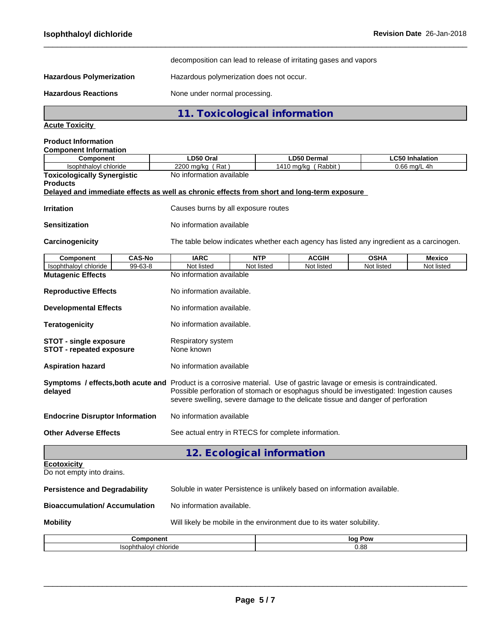decomposition can lead to release of irritating gases and vapors

 $\_$  ,  $\_$  ,  $\_$  ,  $\_$  ,  $\_$  ,  $\_$  ,  $\_$  ,  $\_$  ,  $\_$  ,  $\_$  ,  $\_$  ,  $\_$  ,  $\_$  ,  $\_$  ,  $\_$  ,  $\_$  ,  $\_$  ,  $\_$  ,  $\_$  ,  $\_$  ,  $\_$  ,  $\_$  ,  $\_$  ,  $\_$  ,  $\_$  ,  $\_$  ,  $\_$  ,  $\_$  ,  $\_$  ,  $\_$  ,  $\_$  ,  $\_$  ,  $\_$  ,  $\_$  ,  $\_$  ,  $\_$  ,  $\_$  ,

Hazardous Polymerization **Hazardous** polymerization does not occur.

Hazardous Reactions **None under normal processing**.

**11. Toxicological information**

**Acute Toxicity**

| <b>Component Information</b><br>Component                                           |                                                                                                      | LD50 Oral                                                                                                                                                                                                                                                                                           |            | <b>LD50 Dermal</b>                                                                         |             | <b>LC50 Inhalation</b> |  |
|-------------------------------------------------------------------------------------|------------------------------------------------------------------------------------------------------|-----------------------------------------------------------------------------------------------------------------------------------------------------------------------------------------------------------------------------------------------------------------------------------------------------|------------|--------------------------------------------------------------------------------------------|-------------|------------------------|--|
| Isophthaloyl chloride                                                               |                                                                                                      | 2200 mg/kg (Rat)<br>1410 mg/kg (Rabbit)<br>$0.66$ mg/L 4h                                                                                                                                                                                                                                           |            |                                                                                            |             |                        |  |
| <b>Toxicologically Synergistic</b>                                                  |                                                                                                      | No information available                                                                                                                                                                                                                                                                            |            |                                                                                            |             |                        |  |
| <b>Products</b>                                                                     |                                                                                                      |                                                                                                                                                                                                                                                                                                     |            | Delayed and immediate effects as well as chronic effects from short and long-term exposure |             |                        |  |
|                                                                                     |                                                                                                      |                                                                                                                                                                                                                                                                                                     |            |                                                                                            |             |                        |  |
| <b>Irritation</b>                                                                   |                                                                                                      | Causes burns by all exposure routes                                                                                                                                                                                                                                                                 |            |                                                                                            |             |                        |  |
| <b>Sensitization</b>                                                                |                                                                                                      | No information available                                                                                                                                                                                                                                                                            |            |                                                                                            |             |                        |  |
| Carcinogenicity                                                                     |                                                                                                      |                                                                                                                                                                                                                                                                                                     |            | The table below indicates whether each agency has listed any ingredient as a carcinogen.   |             |                        |  |
| Component                                                                           | <b>CAS-No</b>                                                                                        | <b>IARC</b>                                                                                                                                                                                                                                                                                         | <b>NTP</b> | <b>ACGIH</b>                                                                               | <b>OSHA</b> | <b>Mexico</b>          |  |
| Isophthaloyl chloride                                                               | 99-63-8                                                                                              | Not listed                                                                                                                                                                                                                                                                                          | Not listed | Not listed                                                                                 | Not listed  | Not listed             |  |
| <b>Mutagenic Effects</b>                                                            |                                                                                                      | No information available                                                                                                                                                                                                                                                                            |            |                                                                                            |             |                        |  |
| <b>Reproductive Effects</b>                                                         |                                                                                                      | No information available.                                                                                                                                                                                                                                                                           |            |                                                                                            |             |                        |  |
| <b>Developmental Effects</b>                                                        |                                                                                                      | No information available.                                                                                                                                                                                                                                                                           |            |                                                                                            |             |                        |  |
| <b>Teratogenicity</b>                                                               |                                                                                                      | No information available.                                                                                                                                                                                                                                                                           |            |                                                                                            |             |                        |  |
|                                                                                     | <b>STOT - single exposure</b><br>Respiratory system<br>None known<br><b>STOT - repeated exposure</b> |                                                                                                                                                                                                                                                                                                     |            |                                                                                            |             |                        |  |
| <b>Aspiration hazard</b>                                                            |                                                                                                      | No information available                                                                                                                                                                                                                                                                            |            |                                                                                            |             |                        |  |
| delayed                                                                             |                                                                                                      | Symptoms / effects, both acute and Product is a corrosive material. Use of gastric lavage or emesis is contraindicated.<br>Possible perforation of stomach or esophagus should be investigated: Ingestion causes<br>severe swelling, severe damage to the delicate tissue and danger of perforation |            |                                                                                            |             |                        |  |
| <b>Endocrine Disruptor Information</b>                                              |                                                                                                      | No information available                                                                                                                                                                                                                                                                            |            |                                                                                            |             |                        |  |
| <b>Other Adverse Effects</b><br>See actual entry in RTECS for complete information. |                                                                                                      |                                                                                                                                                                                                                                                                                                     |            |                                                                                            |             |                        |  |
|                                                                                     |                                                                                                      |                                                                                                                                                                                                                                                                                                     |            | 12. Ecological information                                                                 |             |                        |  |
| <b>Ecotoxicity</b><br>Do not empty into drains.                                     |                                                                                                      |                                                                                                                                                                                                                                                                                                     |            |                                                                                            |             |                        |  |

| <b>Mobility</b>                      | Will likely be mobile in the environment due to its water solubility.    |
|--------------------------------------|--------------------------------------------------------------------------|
| <b>Bioaccumulation/Accumulation</b>  | No information available.                                                |
| <b>Persistence and Degradability</b> | Soluble in water Persistence is unlikely based on information available. |

| -----                            | loc  |
|----------------------------------|------|
| .                                | Pow  |
| alovir<br>- - -<br>chloride<br>. | 9.88 |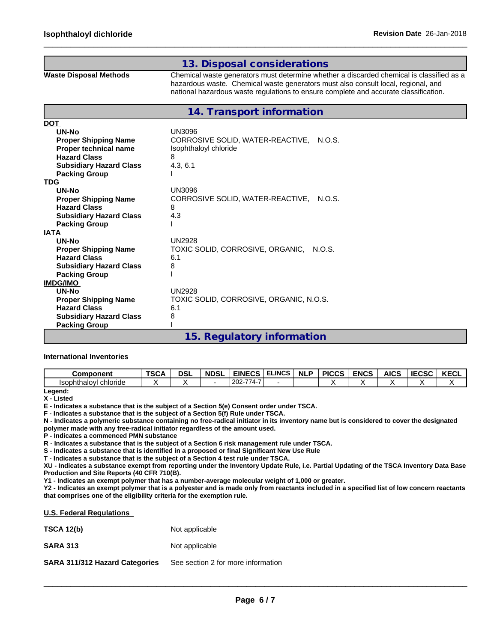# **13. Disposal considerations**

**Waste Disposal Methods** Chemical waste generators must determine whether a discarded chemical is classified as a hazardous waste. Chemical waste generators must also consult local, regional, and national hazardous waste regulations to ensure complete and accurate classification.

 $\_$  ,  $\_$  ,  $\_$  ,  $\_$  ,  $\_$  ,  $\_$  ,  $\_$  ,  $\_$  ,  $\_$  ,  $\_$  ,  $\_$  ,  $\_$  ,  $\_$  ,  $\_$  ,  $\_$  ,  $\_$  ,  $\_$  ,  $\_$  ,  $\_$  ,  $\_$  ,  $\_$  ,  $\_$  ,  $\_$  ,  $\_$  ,  $\_$  ,  $\_$  ,  $\_$  ,  $\_$  ,  $\_$  ,  $\_$  ,  $\_$  ,  $\_$  ,  $\_$  ,  $\_$  ,  $\_$  ,  $\_$  ,  $\_$  ,

**14. Transport information**

| <b>DOT</b>                     |                                            |
|--------------------------------|--------------------------------------------|
| UN-No                          | UN3096                                     |
| <b>Proper Shipping Name</b>    | CORROSIVE SOLID, WATER-REACTIVE, N.O.S.    |
| Proper technical name          | Isophthaloyl chloride                      |
| <b>Hazard Class</b>            | 8                                          |
| <b>Subsidiary Hazard Class</b> | 4.3, 6.1                                   |
| <b>Packing Group</b>           |                                            |
| <b>TDG</b>                     |                                            |
| UN-No                          | UN3096                                     |
| <b>Proper Shipping Name</b>    | CORROSIVE SOLID, WATER-REACTIVE, N.O.S.    |
| <b>Hazard Class</b>            | 8                                          |
| <b>Subsidiary Hazard Class</b> | 4.3                                        |
| <b>Packing Group</b>           |                                            |
| <b>IATA</b>                    |                                            |
| UN-No                          | <b>UN2928</b>                              |
| <b>Proper Shipping Name</b>    | TOXIC SOLID, CORROSIVE, ORGANIC,<br>N.O.S. |
| <b>Hazard Class</b>            | 6.1                                        |
| <b>Subsidiary Hazard Class</b> | 8                                          |
| <b>Packing Group</b>           |                                            |
| <b>IMDG/IMO</b>                |                                            |
| UN-No                          | UN2928                                     |
| <b>Proper Shipping Name</b>    | TOXIC SOLID, CORROSIVE, ORGANIC, N.O.S.    |
| <b>Hazard Class</b>            | 6.1                                        |
| <b>Subsidiary Hazard Class</b> | 8                                          |
| <b>Packing Group</b>           |                                            |
|                                | 15. Regulatory information                 |

## **International Inventories**

| <b>Component</b>         | TSCA | <b>DSL</b> | <b>NDSL</b> | <b>EINECS</b><br>-53                                          | <b>ELINCS</b> | <b>NLF</b> | פחחם<br>וטטט | <b>ENCS</b> | <b>AICS</b> | טכטא | <b>KECL</b> |
|--------------------------|------|------------|-------------|---------------------------------------------------------------|---------------|------------|--------------|-------------|-------------|------|-------------|
| chloride<br>Isophthaloyl |      |            |             | $\rightarrow$ $\rightarrow$ $\rightarrow$<br>$202 -$<br>$-4-$ |               |            |              |             |             |      |             |

**Legend: X - Listed**

**E - Indicates a substance that is the subject of a Section 5(e) Consent order under TSCA.**

**F - Indicates a substance that is the subject of a Section 5(f) Rule under TSCA.**

**N - Indicates a polymeric substance containing no free-radical initiator in its inventory name but is considered to cover the designated polymer made with any free-radical initiator regardless of the amount used.**

**P - Indicates a commenced PMN substance**

**R - Indicates a substance that is the subject of a Section 6 risk management rule under TSCA.**

**S - Indicates a substance that is identified in a proposed or final Significant New Use Rule**

**T - Indicates a substance that is the subject of a Section 4 test rule under TSCA.**

**XU - Indicates a substance exempt from reporting under the Inventory Update Rule, i.e. Partial Updating of the TSCA Inventory Data Base Production and Site Reports (40 CFR 710(B).**

**Y1 - Indicates an exempt polymer that has a number-average molecular weight of 1,000 or greater.**

**Y2 - Indicates an exempt polymer that is a polyester and is made only from reactants included in a specified list of low concern reactants that comprises one of the eligibility criteria for the exemption rule.**

#### **U.S. Federal Regulations**

| <b>TSCA 12(b)</b> | Not applicable |
|-------------------|----------------|
| <b>SARA 313</b>   | Not applicable |

**SARA 311/312 Hazard Categories** See section 2 for more information